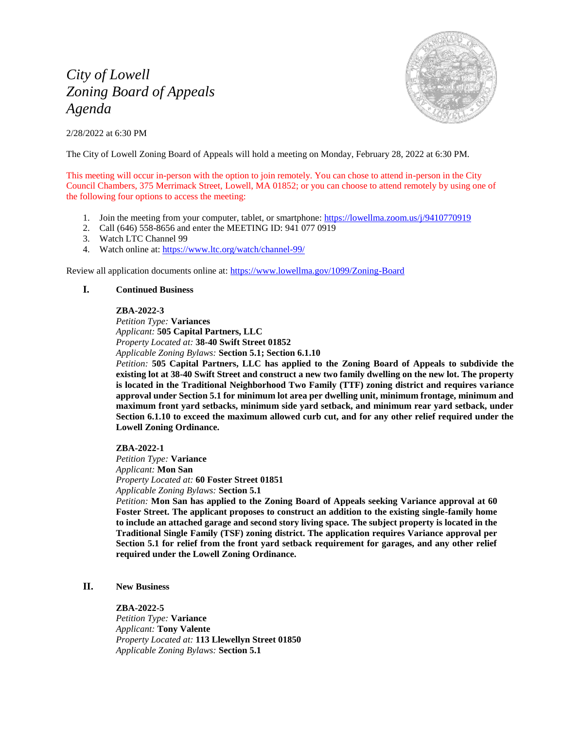# *City of Lowell Zoning Board of Appeals Agenda*

2/28/2022 at 6:30 PM



The City of Lowell Zoning Board of Appeals will hold a meeting on Monday, February 28, 2022 at 6:30 PM.

This meeting will occur in-person with the option to join remotely. You can chose to attend in-person in the City Council Chambers, 375 Merrimack Street, Lowell, MA 01852; or you can choose to attend remotely by using one of the following four options to access the meeting:

- 1. Join the meeting from your computer, tablet, or smartphone: <https://lowellma.zoom.us/j/9410770919>
- 2. Call (646) 558-8656 and enter the MEETING ID: 941 077 0919
- 3. Watch LTC Channel 99
- 4. Watch online at:<https://www.ltc.org/watch/channel-99/>

Review all application documents online at:<https://www.lowellma.gov/1099/Zoning-Board>

## **I. Continued Business**

#### **ZBA-2022-3**

*Petition Type:* **Variances** *Applicant:* **505 Capital Partners, LLC** *Property Located at:* **38-40 Swift Street 01852** *Applicable Zoning Bylaws:* **Section 5.1; Section 6.1.10**

*Petition:* **505 Capital Partners, LLC has applied to the Zoning Board of Appeals to subdivide the existing lot at 38-40 Swift Street and construct a new two family dwelling on the new lot. The property is located in the Traditional Neighborhood Two Family (TTF) zoning district and requires variance approval under Section 5.1 for minimum lot area per dwelling unit, minimum frontage, minimum and maximum front yard setbacks, minimum side yard setback, and minimum rear yard setback, under Section 6.1.10 to exceed the maximum allowed curb cut, and for any other relief required under the Lowell Zoning Ordinance.**

**ZBA-2022-1** *Petition Type:* **Variance**

*Applicant:* **Mon San**

*Property Located at:* **60 Foster Street 01851** *Applicable Zoning Bylaws:* **Section 5.1**

*Petition:* **Mon San has applied to the Zoning Board of Appeals seeking Variance approval at 60 Foster Street. The applicant proposes to construct an addition to the existing single-family home to include an attached garage and second story living space. The subject property is located in the Traditional Single Family (TSF) zoning district. The application requires Variance approval per Section 5.1 for relief from the front yard setback requirement for garages, and any other relief required under the Lowell Zoning Ordinance.**

# **II. New Business**

#### **ZBA-2022-5**

*Petition Type:* **Variance** *Applicant:* **Tony Valente** *Property Located at:* **113 Llewellyn Street 01850** *Applicable Zoning Bylaws:* **Section 5.1**